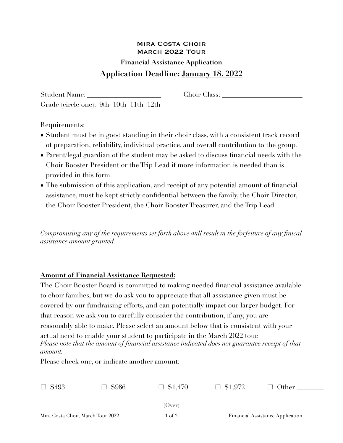## Mira Costa Choir March 2022 Tour

## **Financial Assistance Application Application Deadline: January 18, 2022**

Student Name: Choir Class: Choir Class: Grade (circle one): 9th 10th 11th 12th

Requirements:

- Student must be in good standing in their choir class, with a consistent track record of preparation, reliability, individual practice, and overall contribution to the group.
- Parent/legal guardian of the student may be asked to discuss financial needs with the Choir Booster President or the Trip Lead if more information is needed than is provided in this form.
- The submission of this application, and receipt of any potential amount of financial assistance, must be kept strictly confidential between the family, the Choir Director, the Choir Booster President, the Choir Booster Treasurer, and the Trip Lead.

*Compromising any of the requirements set forth above will result in the forfeiture of any finical assistance amount granted.* 

## **Amount of Financial Assistance Requested:**

The Choir Booster Board is committed to making needed financial assistance available to choir families, but we do ask you to appreciate that all assistance given must be covered by our fundraising efforts, and can potentially impact our larger budget. For that reason we ask you to carefully consider the contribution, if any, you are reasonably able to make. Please select an amount below that is consistent with your actual need to enable your student to participate in the March 2022 tour. *Please note that the amount of financial assistance indicated does not guarantee receipt of that amount.* 

Please check one, or indicate another amount:

| $\Box$ \$493                      | - S986 | $\Box$ \$1,470 | $\Box$ \$1,972                   | $\Box$ Other |  |
|-----------------------------------|--------|----------------|----------------------------------|--------------|--|
|                                   |        |                |                                  |              |  |
|                                   |        | (Over)         |                                  |              |  |
| Mira Costa Choir, March Tour 2022 |        | l of 2         | Financial Assistance Application |              |  |